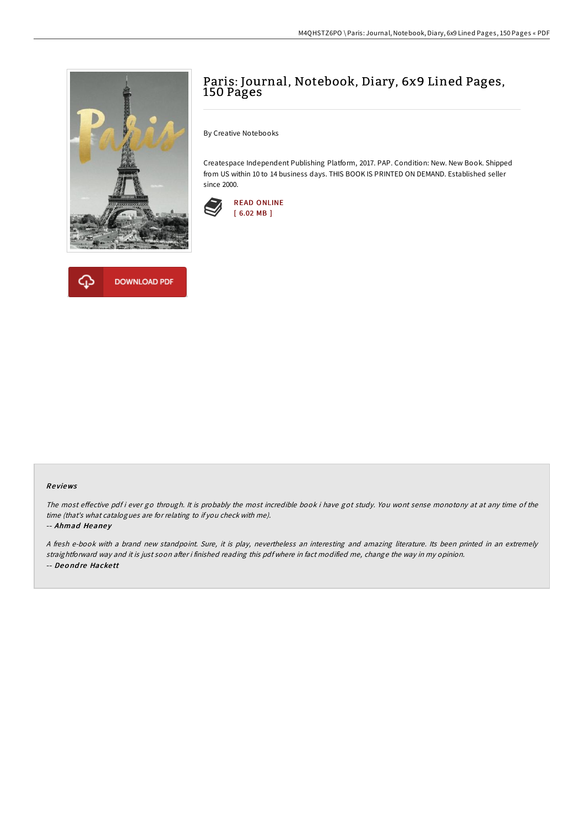



## Paris: Journal, Notebook, Diary, 6x9 Lined Pages, 150 Pages

By Creative Notebooks

Createspace Independent Publishing Platform, 2017. PAP. Condition: New. New Book. Shipped from US within 10 to 14 business days. THIS BOOK IS PRINTED ON DEMAND. Established seller since 2000.



## Re views

The most effective pdf i ever go through. It is probably the most incredible book i have got study. You wont sense monotony at at any time of the time (that's what catalogues are for relating to if you check with me).

-- Ahmad Heaney

<sup>A</sup> fresh e-book with <sup>a</sup> brand new standpoint. Sure, it is play, nevertheless an interesting and amazing literature. Its been printed in an extremely straightforward way and it is just soon after i finished reading this pdf where in fact modified me, change the way in my opinion. -- Deo nd re Hacke tt